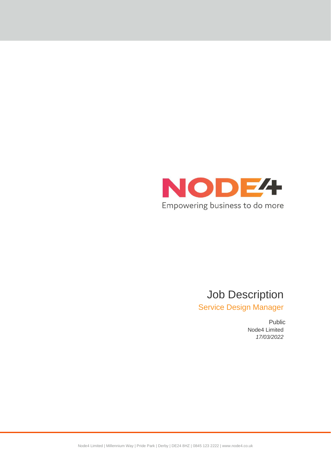

# Job Description

Service Design Manager

Public Node4 Limited *17/03/2022*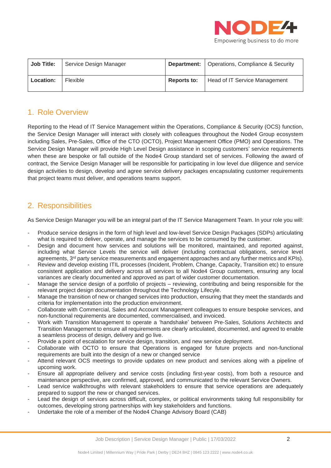

| <b>Job Title:</b> | Service Design Manager |             | <b>Department:</b>   Operations, Compliance & Security |
|-------------------|------------------------|-------------|--------------------------------------------------------|
| Location:         | Flexible               | Reports to: | Head of IT Service Management                          |

### 1. Role Overview

Reporting to the Head of IT Service Management within the Operations, Compliance & Security (OCS) function, the Service Design Manager will interact with closely with colleagues throughout the Node4 Group ecosystem including Sales, Pre-Sales, Office of the CTO (OCTO), Project Management Office (PMO) and Operations. The Service Design Manager will provide High Level Design assistance in scoping customers' service requirements when these are bespoke or fall outside of the Node4 Group standard set of services. Following the award of contract, the Service Design Manager will be responsible for participating in low level due diligence and service design activities to design, develop and agree service delivery packages encapsulating customer requirements that project teams must deliver, and operations teams support.

## 2. Responsibilities

As Service Design Manager you will be an integral part of the IT Service Management Team. In your role you will:

- Produce service designs in the form of high level and low-level Service Design Packages (SDPs) articulating what is required to deliver, operate, and manage the services to be consumed by the customer.
- Design and document how services and solutions will be monitored, maintained, and reported against, including what Service Levels the service will deliver (including contractual obligations, service level agreements, 3<sup>rd</sup> party service measurements and engagement approaches and any further metrics and KPIs).
- Review and develop existing ITIL processes (Incident, Problem, Change, Capacity, Transition etc) to ensure consistent application and delivery across all services to all Node4 Group customers, ensuring any local variances are clearly documented and approved as part of wider customer documentation.
- Manage the service design of a portfolio of projects reviewing, contributing and being responsible for the relevant project design documentation throughout the Technology Lifecyle.
- Manage the transition of new or changed services into production, ensuring that they meet the standards and criteria for implementation into the production environment.
- Collaborate with Commercial, Sales and Account Management colleagues to ensure bespoke services, and non-functional requirements are documented, commercialised, and invoiced.
- Work with Transition Management to operate a 'handshake' between Pre-Sales, Solutions Architects and Transition Management to ensure all requirements are clearly articulated, documented, and agreed to enable a seamless process of design, delivery and go live.
- Provide a point of escalation for service design, transition, and new service deployment.
- Collaborate with OCTO to ensure that Operations is engaged for future projects and non-functional requirements are built into the design of a new or changed service
- Attend relevant OCS meetings to provide updates on new product and services along with a pipeline of upcoming work.
- Ensure all appropriate delivery and service costs (including first-year costs), from both a resource and maintenance perspective, are confirmed, approved, and communicated to the relevant Service Owners.
- Lead service walkthroughs with relevant stakeholders to ensure that service operations are adequately prepared to support the new or changed services.
- Lead the design of services across difficult, complex, or political environments taking full responsibility for outcomes, developing strong partnerships with key stakeholders and functions.
- Undertake the role of a member of the Node4 Change Advisory Board (CAB)